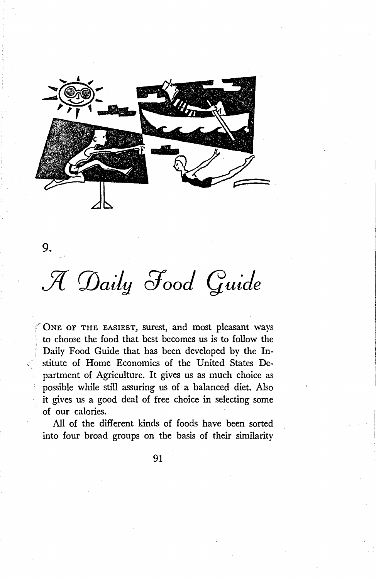

# 9.

# A Daily Food Guide

ONE OF THE EASIEST, surest, and most pleasant ways to choose the food that best becomes us is to follow the Daily Food Guide that has been developed by the Institute of Home Economics of the United States Department of Agriculture. It gives us as much choice as possible while still assuring us of a balanced diet. Also it gives us a good deal of free choice in selecting some of our calories.

All of the different kinds of foods have been sorted into four broad groups on the basis of their similarity

91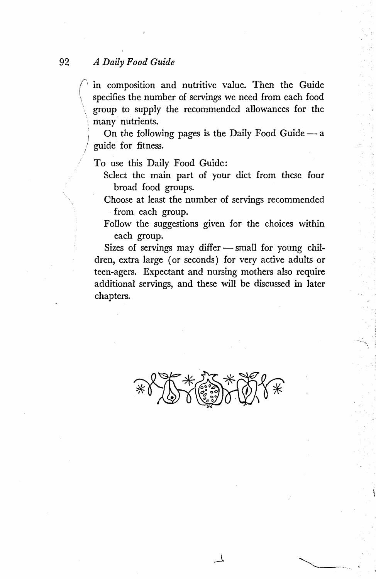## 92 *A Daily Food Guide*

in composition and nutritive value. Then the Guide specifies the number of servings we need from each food group to supply the recommended allowances for the many nutrients.

On the following pages is the Daily Food Guide  $-$  a guide for fitness.

To use this Daily Food Guide:

Select the main part of your diet from these four broad food groups.

Choose at least the number of servings recommended from each group.

Follow the suggestions given for the choices within each group;

Sizes of servings may differ  $-$  small for young children, extra large ( or seconds) for very active adults or teen-agers. Expectant and nursing mothers also require additional servings, and these will be discussed in later chapters.

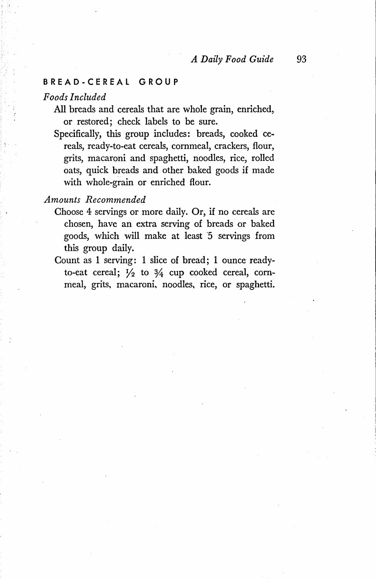#### **BREAD-CEREAL GROUP**

#### *Foods Included*

All breads and cereals that are whole grain, enriched, or restored; check labels to be sure.

Specifically, this group includes: breads, cooked cereals, ready-to-eat cereals, cornmeal, crackers, flour, grits, macaroni and spaghetti, noodles, rice, rolled oats, quick breads and other baked goods if made with whole-grain or enriched flour.

*Amounts Recommended* 

- Choose 4 servings or more daily. Or, if no cereals are chosen, have an extra serving of breads or baked goods, which will make at least "5 servings from this group daily.
- Count as 1 serving: 1 slice of bread; 1 ounce readyto-eat cereal;  $\frac{1}{2}$  to  $\frac{3}{4}$  cup cooked cereal, cornmeal, grits, macaroni, noodles, rice, or spaghetti.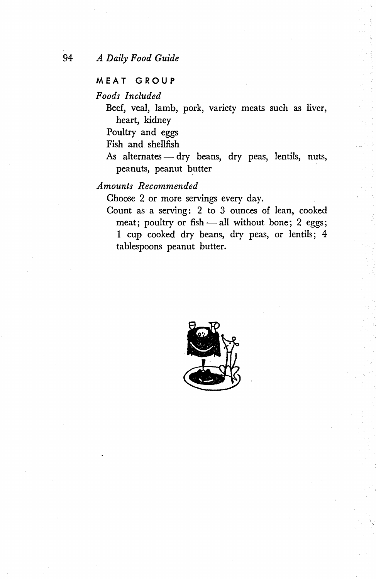#### **MEAT GROUP**

*Foods Included* 

Beef, veal, lamb, pork, variety meats such as liver, heart, kidney

Poultry and eggs

Fish and shellfish

As alternates - dry beans, dry peas, lentils, nuts, peanuts, peanut butter

*Amounts Recommended* 

Choose 2 or more servings every day.

Count as a serving: 2 to 3 ounces of lean, cooked meat; poultry or fish  $-$  all without bone; 2 eggs; 1 cup cooked dry beans, dry peas, or lentils; 4 tablespoons peanut butter.

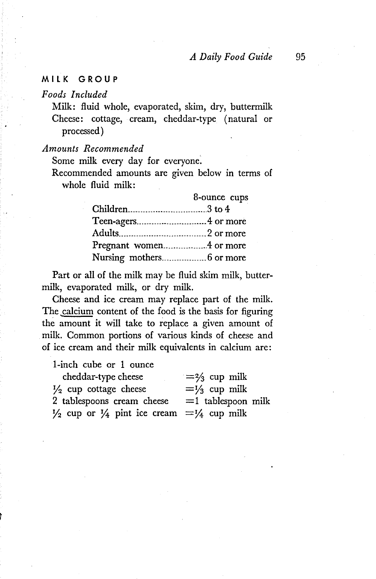### **MILK GROUP**

*Foods Included* 

Milk: fluid whole, evaporated, skim, dry, buttermilk Cheese: cottage, cream, cheddar-type ( natural or processed)

*Amounts Recommended* 

Some milk every day for everyone'.

Recommended amounts are given below in terms of whole fluid milk:

|                         | 8-ounce cups |
|-------------------------|--------------|
|                         |              |
|                         |              |
|                         |              |
| Pregnant women4 or more |              |
|                         |              |

Part or all of the milk may be fluid skim milk, buttermilk, evaporated milk, or dry milk.

Cheese and ice cream may replace part of the milk. The calcium content of the food is the basis for figuring the amount it will take to replace a given amount of milk. Common portions of various kinds of cheese and of ice cream and their milk equivalents in calcium are:

| 1-inch cube or 1 ounce                                                          |                         |
|---------------------------------------------------------------------------------|-------------------------|
| cheddar-type cheese                                                             | $\equiv 2/3$ cup milk   |
| $\frac{1}{2}$ cup cottage cheese                                                | $=\frac{1}{3}$ cup milk |
| 2 tablespoons cream cheese                                                      | $=1$ tablespoon milk    |
| $\frac{1}{2}$ cup or $\frac{1}{4}$ pint ice cream $\equiv \frac{1}{4}$ cup milk |                         |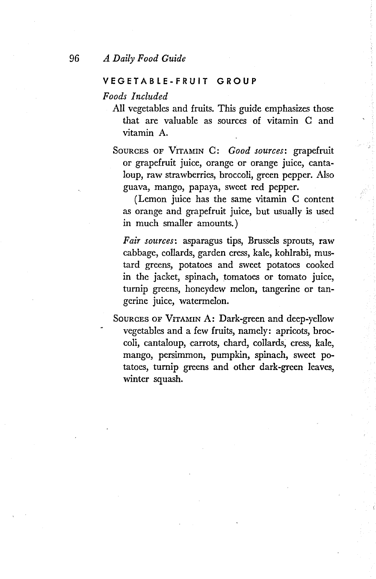## **VEGETABLE-FRUIT GROUP**

*Foods Included* 

All vegetables and fruits. This guide emphasizes those that are valuable as sources of vitamin C and vitamin A.

SouRcEs OF VITAMIN C: *Good sources:* grapefruit or grapefruit juice, orange or orange juice, cantaloup, raw strawberries, broccoli, green pepper. Also guava, mango, papaya, sweet red pepper.

(Lemon juice has the same vitamin C content as orange and grapefruit juice, but usually is used in much smaller amounts.)

*Fair sources:* asparagus tips, Brussels sprouts, raw cabbage, collards, garden cress, kale, kohlrabi, mustard greens, potatoes and sweet potatoes cooked in the jacket, spinach, tomatoes or tomato juice, turnip greens, honeydew melon, tangerine or tangerine juice, watermelon.

SOURCES OF VITAMIN A: Dark-green and deep-yellow vegetables and a few fruits, namely: apricots, broccoli, cantaloup, carrots, chard, collards, cress, kale, mango, persimmon, pumpkin, spinach, sweet potatoes, turnip greens and other dark-green leaves, winter squash.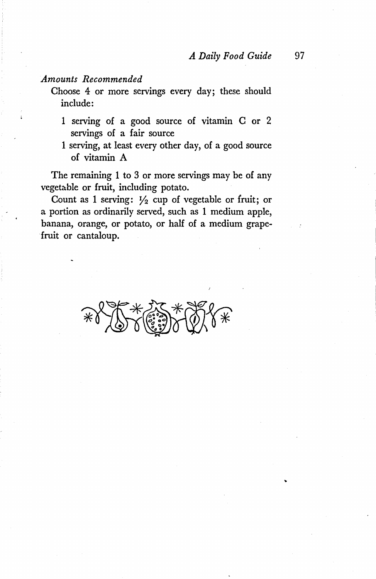#### *Amounts Recommended*

Choose 4 or more servings every day; these should include:

- 1 serving of a good source of vitamin C or 2 servings of a fair source
- 1 serving, at least every other day, of a good source of vitamin A

The remaining 1 to 3 or more servings may be of any vegetable or fruit, including potato.

Count as 1 serving: *½* cup of vegetable or fruit; or a portion as ordinarily served, such as 1 medium apple, banana, orange, or potato, or half of a medium grapefruit or cantaloup.

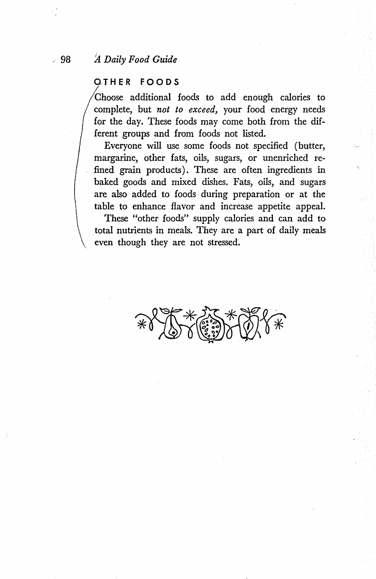#### **OTHER FOODS**

Choose additional foods to add enough calories to complete, but *not to exceed,* your food energy needs for the day. These foods may come both from the different groups and from foods not listed.

Everyone will use some foods not specified (butter, margarine, other fats, oils, sugars, or unenriched refined grain products). These are often ingredients in baked goods and mixed dishes. Fats, oils, and sugars are also added to foods during preparation or at the table to enhance flavor and increase appetite appeal.

These "other foods" supply calories and can add to total nutrients in meals. They are a part of daily meals even though they are not stressed.

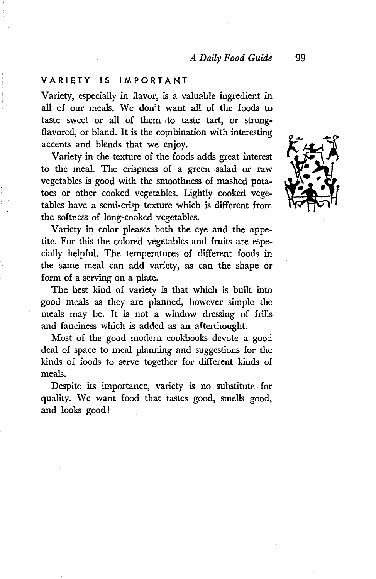#### **VARIETY IS IMPORTANT**

Variety, especially in flavor, is a valuable ingredient in all of our meals. We don't want all of the foods to taste sweet or all of them ,to taste tart, or strongflavored, or bland. It is the combination with interesting accents and blends that we enjoy.

Variety in the texture of the foods adds great interest to the meal. The crispness of a green salad or raw vegetables is good with the smoothness of mashed potatoes or other cooked vegetables. Lightly cooked vegetables have a semi-crisp texture which is different from the softness of long-cooked vegetables.

Variety in color pleases both the eye and the appetite. For this the colored vegetables and fruits are especially helpful. The temperatures of different foods in the same meal can add variety, as can the shape or form of a serving on a plate.

The best kind of variety is that which is built into good meals as they are planned, however simple the meals may be. It is not a window dressing of frills and fanciness which is added as an afterthought.

Most of the good modern cookbooks devote a good deal of space to meal planning and suggestions for the kinds of foods to serve together for different kinds of meals.

Despite its importance, variety is no substitute for quality. We want food that tastes good, smells good, and looks good!

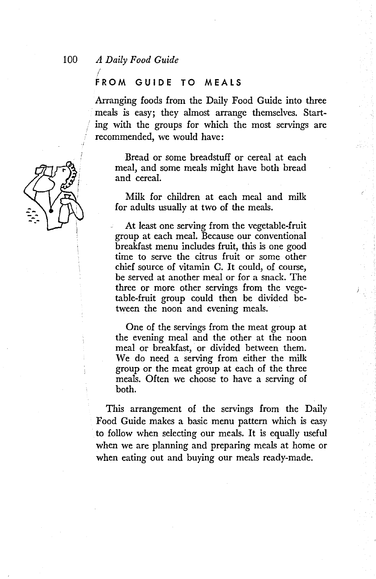#### *I*  **FROM GUIDE TO MEALS**

Arranging foods from the Daily Food Guide into three meals is easy; they almost arrange themselves. Starting with the groups for which the most servings are recommended, we would have:

Bread or some breadstuff or cereal at each meal, and some meals might have both bread and cereal.

Milk for children at each meal and milk for adults usually at two of the meals.

At least one serving from the vegetable-fruit group at each meal. Because our conventional breakfast menu includes fruit, this is one good time to serve the citrus fruit or some other chief source of vitamin C. It could, of course, be served at another meal or for a snack. The three or more other servings from the vegetable-fruit group could then be divided between the noon and evening meals.

One of the servings from the meat group at the evening meal and the other at the noon meal or breakfast, or divided between them. We do need a serving from either the milk group or the meat group at each of the three meals. Often we choose to have a serving of both.

This arrangement of the servings from the Daily Food Guide makes a basic menu pattern which is easy to follow when selecting our meals. It is equally useful when we are planning and preparing meals at home or when eating out and buying our meals ready-made.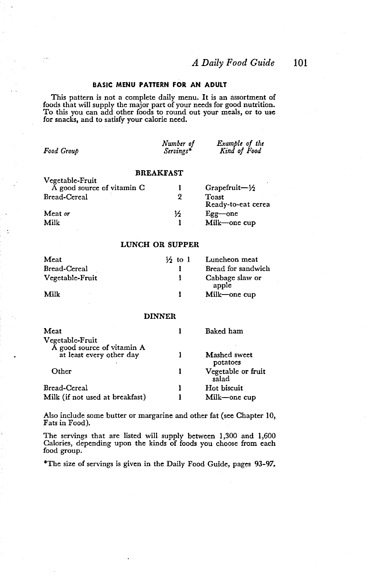#### **BASIC MENU PATTERN FOR AN ADULT**

This pattern is not a complete daily menu. It is an assortment of foods that will supply the major part of your needs for good nutrition. To this you can add other foods to round out your meals, or to use for snacks, and t

| Food Group                 | Number of<br>Servings* | Example of the<br>Kind of Food |
|----------------------------|------------------------|--------------------------------|
|                            | <b>BREAKFAST</b>       |                                |
| Vegetable-Fruit            |                        |                                |
| A good source of vitamin C |                        | Grapefruit- $\frac{1}{2}$      |
| <b>Bread-Cereal</b>        | 2                      | Toast                          |
|                            |                        | Ready-to-eat cerea             |
| Meat or                    | ⅓                      | $Egg$ – one                    |
| Milk                       |                        | Milk-one cup                   |
|                            |                        |                                |

#### **LUNCH OR SUPPER**

| Meat            | 16 to 1 | Luncheon meat            |
|-----------------|---------|--------------------------|
| Bread-Cereal    |         | Bread for sandwich       |
| Vegetable-Fruit |         | Cabbage slaw or<br>apple |
| Milk            |         | Milk-one cup             |

#### **DINNER**

| Meat                                          | Baked ham                   |
|-----------------------------------------------|-----------------------------|
| Vegetable-Fruit<br>A good source of vitamin A |                             |
| at least every other day                      | Mashed sweet<br>potatoes    |
| Other                                         | Vegetable or fruit<br>salad |
| Bread-Cereal                                  | Hot biscuit                 |
| Milk (if not used at breakfast)               | Milk-one cup                |

Also include some butter or margarine and other fat (see Chapter IO, Fats in Food).

The servings that are listed will supply between 1,300 and 1,600 Calories, depending upon the kinds of foods you choose from each food group.

•The size of servings is given in the Daily Food Guide, pages 93-97.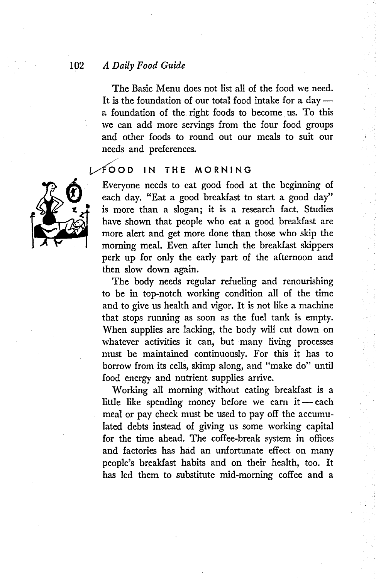The Basic Menu does not list all of the food we need. It is the foundation of our total food intake for a day -a foundation of the right foods to become us. To this we can add more servings from the four food groups and other foods to round out our meals to suit our needs and preferences.

# / **VFOOD IN THE MORNING**

Everyone needs to eat good food at the beginning of each day. "Eat a good breakfast to start a good day" is more than a slogan; it is a research fact. Studies have shown that people who eat a good breakfast are more alert and get more done than those who skip the morning meal. Even after lunch the breakfast skippers perk up for only the early part of the afternoon and then slow down again.

The body needs regular refueling and renourishing to be in top-notch working condition all of the time and to give us health and vigor. It is not like a machine that stops running as soon as the fuel tank is empty. When supplies are lacking, the body will cut down on whatever activities it can, but many living processes must be maintained continuously. For this it has to borrow from its cells, skimp along, and "make do" until food energy and nutrient supplies arrive.

Working all morning without eating breakfast is a little like spending money before we earn it  $-$  each meal or pay check must be used to pay off the accumulated debts instead of giving us some working capital for the time ahead. The coffee-break system in offices and factories has had an unfortunate effect on many people's breakfast habits and on their health, too. It has led them to substitute mid-morning coffee and a

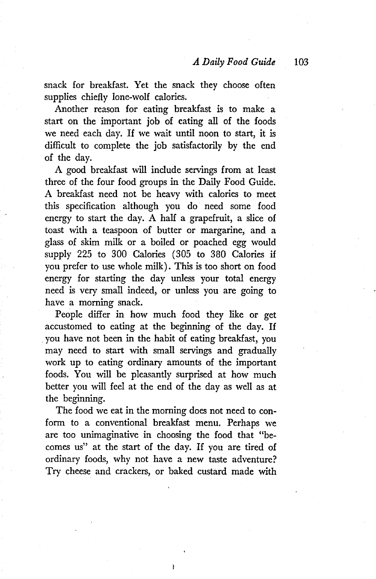snack for breakfast. Yet the snack they choose often supplies chiefly lone-wolf calories.

Another reason for eating breakfast is to make a start on the important job of eating all of the foods we need each day. If we wait until noon to start, it is difficult to complete the job satisfactorily by the end of the day.

A good breakfast will include servings from at least three of the four food groups in the Daily Food Guide. A breakfast need not be heavy with calories to meet this specification although you do need some food energy to start the day. A half a grapefruit, a slice of toast with a teaspoon of butter or margarine, and a glass of skim milk or a boiled or poached egg would supply 225 to 300 Calories (305 to 380 Calories if you prefer to use whole milk). This is too short on food energy for starting the day unless your total energy need is very small indeed, or unless you are going to have a morning snack.

People differ in how much food they like or get accustomed to eating at the beginning of the day. If you have not been in the habit of eating breakfast, you may need to start with small servings and gradually work up to eating ordinary amounts of the important foods. You will be pleasantly surprised at how much better you will feel at the end of the day as well as at the beginning.

The food we eat in the morning does not need to conform to a conventional breakfast menu. Perhaps we are too unimaginative in choosing the food that "becomes us" at the start of the day. If you are tired of ordinary foods, why not have a new taste adventure? Try cheese and crackers, or baked custard made with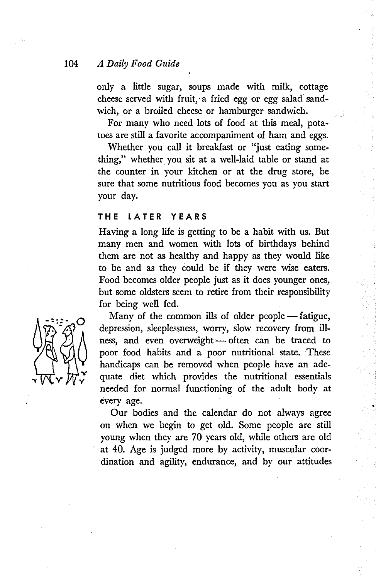#### 104 *A Daily Food Guide*

only a little sugar, soups made with milk, cottage cheese served with fruit, a fried egg or egg salad sandwich, or a broiled cheese or hamburger sandwich.

For many who need lots of food at this meal, potatoes are still a favorite accompaniment of ham and eggs.

Whether you call it breakfast or "just eating something," whether you sit at a well-laid table or stand at the counter in your kitchen or at the drug store, be sure that some nutritious food becomes you as you start your day.

#### **THE LATER YEARS**

Having a long life is getting to be a habit with us. But many men and women with lots of birthdays behind them are not as healthy and happy as they would like to be and as they could be if they were wise eaters. Food becomes older people just as it does younger ones, but some oldsters seem to retire from their responsibility for being well fed.

Many of the common ills of older people  $-$  fatigue, depression, sleeplessness, worry, slow recovery from illness, and even overweight - often can be traced to poor food habits and a poor nutritional state. These handicaps can be removed when people have an adequate diet which provides the nutritional essentials needed for normal functioning of the adult body at every age.

Our bodies and the calendar do not always agree on when we begin to get old. Some people are still young when they are 70 years old, while others are old at 40. Age is judged more by activity, muscular coordination and agility, endurance, and by our attitudes

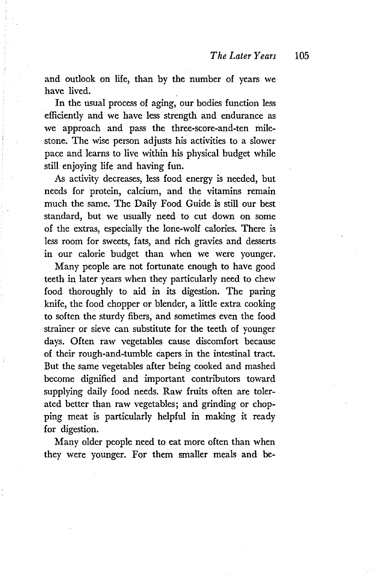and outlook on life, than by the number of years we have lived.

In the usual process of aging, our bodies function less efficiently and we have less strength and endurance as we approach and pass the three-score-and-ten milestone. The wise person adjusts his activities to a slower pace and learns to live within his physical budget while still enjoying life and having fun.

As activity decreases, less food energy is needed, but needs for protein, calcium, and the vitamins remain much the same. The Daily Food Guide is still our best standard, but we usually need to cut down on some of the extras, especially the lone-wolf calories. There is less room for sweets, fats, and rich gravies and desserts in our calorie budget than when we were younger.

Many people are not fortunate enough to have good teeth in later years when they particularly need to chew food thoroughly to aid in its digestion. The paring knife, the food chopper or blender, a little extra cooking to soften the sturdy fibers, and sometimes even the food strainer or sieve can substitute for the teeth of younger days. Often raw vegetables cause discomfort because of their rough-and-tumble capers in the intestinal tract. But the same vegetables after being cooked and mashed become dignified and important contributors toward supplying daily food needs. Raw fruits often are tolerated better than raw vegetables; and grinding or chopping meat is particularly helpful in making it ready for digestion.

Many older people need to eat more often than when they were younger. For them smaller meals and be-